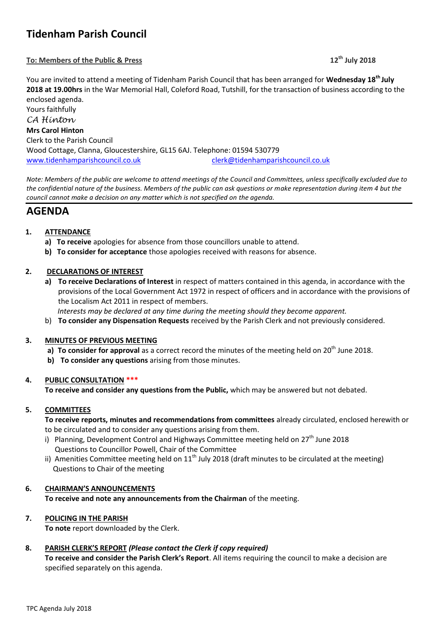# **Tidenham Parish Council**

#### **To: Members of the Public & Press 12th July 2018**

You are invited to attend a meeting of Tidenham Parish Council that has been arranged for **Wednesday 18th July 2018 at 19.00hrs** in the War Memorial Hall, Coleford Road, Tutshill, for the transaction of business according to the enclosed agenda.

Yours faithfully *CA Hinton* **Mrs Carol Hinton** Clerk to the Parish Council Wood Cottage, Clanna, Gloucestershire, GL15 6AJ. Telephone: 01594 530779 [www.tidenhamparishcouncil.co.uk](http://www.tidenhamparishcouncil.co.uk/) [clerk@tidenhamparishcouncil.co.uk](mailto:clerk@tidenhamparishcouncil.co.uk)

*Note: Members of the public are welcome to attend meetings of the Council and Committees, unless specifically excluded due to the confidential nature of the business. Members of the public can ask questions or make representation during item 4 but the council cannot make a decision on any matter which is not specified on the agenda.*

## **AGENDA**

### **1. ATTENDANCE**

- **a) To receive** apologies for absence from those councillors unable to attend.
- **b) To consider for acceptance** those apologies received with reasons for absence.

#### **2. DECLARATIONS OF INTEREST**

**a) To receive Declarations of Interest** in respect of matters contained in this agenda, in accordance with the provisions of the Local Government Act 1972 in respect of officers and in accordance with the provisions of the Localism Act 2011 in respect of members.

 *Interests may be declared at any time during the meeting should they become apparent.*

b) **To consider any Dispensation Requests** received by the Parish Clerk and not previously considered.

#### **3. MINUTES OF PREVIOUS MEETING**

- **a) To consider for approval** as a correct record the minutes of the meeting held on 20<sup>th</sup> June 2018.
- **b) To consider any questions** arising from those minutes.

#### **4. PUBLIC CONSULTATION \*\*\***

**To receive and consider any questions from the Public,** which may be answered but not debated.

#### **5. COMMITTEES**

**To receive reports, minutes and recommendations from committees** already circulated, enclosed herewith or to be circulated and to consider any questions arising from them.

- i) Planning, Development Control and Highways Committee meeting held on  $27<sup>th</sup>$  June 2018 Questions to Councillor Powell, Chair of the Committee
- ii) Amenities Committee meeting held on  $11<sup>th</sup>$  July 2018 (draft minutes to be circulated at the meeting) Questions to Chair of the meeting

#### **6. CHAIRMAN'S ANNOUNCEMENTS**

**To receive and note any announcements from the Chairman** of the meeting.

#### **7. POLICING IN THE PARISH**

**To note** report downloaded by the Clerk.

#### **8. PARISH CLERK'S REPORT** *(Please contact the Clerk if copy required)*

**To receive and consider the Parish Clerk's Report**. All items requiring the council to make a decision are specified separately on this agenda.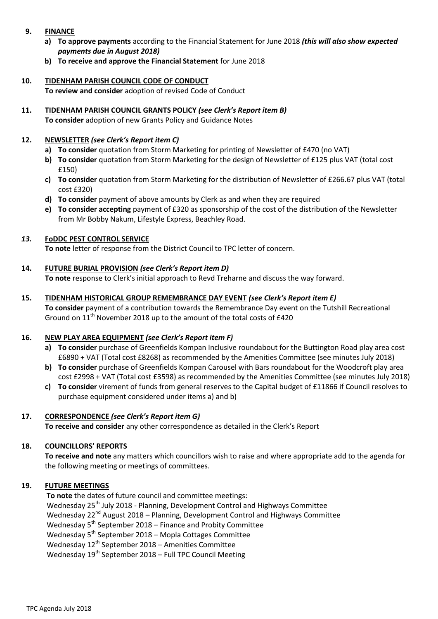- **9. FINANCE**
	- **a) To approve payments** according to the Financial Statement for June 2018 *(this will also show expected payments due in August 2018)*
	- **b) To receive and approve the Financial Statement** for June 2018
- **10. TIDENHAM PARISH COUNCIL CODE OF CONDUCT To review and consider** adoption of revised Code of Conduct
- **11. TIDENHAM PARISH COUNCIL GRANTS POLICY** *(see Clerk's Report item B)* **To consider** adoption of new Grants Policy and Guidance Notes

#### **12. NEWSLETTER** *(see Clerk's Report item C)*

- **a) To consider** quotation from Storm Marketing for printing of Newsletter of £470 (no VAT)
- **b) To consider** quotation from Storm Marketing for the design of Newsletter of £125 plus VAT (total cost £150)
- **c) To consider** quotation from Storm Marketing for the distribution of Newsletter of £266.67 plus VAT (total cost £320)
- **d) To consider** payment of above amounts by Clerk as and when they are required
- **e) To consider accepting** payment of £320 as sponsorship of the cost of the distribution of the Newsletter from Mr Bobby Nakum, Lifestyle Express, Beachley Road.

### *13.* **FoDDC PEST CONTROL SERVICE**

**To note** letter of response from the District Council to TPC letter of concern.

#### **14. FUTURE BURIAL PROVISION** *(see Clerk's Report item D)*

**To note** response to Clerk's initial approach to Revd Treharne and discuss the way forward.

#### **15. TIDENHAM HISTORICAL GROUP REMEMBRANCE DAY EVENT** *(see Clerk's Report item E)*

**To consider** payment of a contribution towards the Remembrance Day event on the Tutshill Recreational Ground on  $11<sup>th</sup>$  November 2018 up to the amount of the total costs of £420

#### **16. NEW PLAY AREA EQUIPMENT** *(see Clerk's Report item F)*

- **a) To consider** purchase of Greenfields Kompan Inclusive roundabout for the Buttington Road play area cost £6890 + VAT (Total cost £8268) as recommended by the Amenities Committee (see minutes July 2018)
- **b) To consider** purchase of Greenfields Kompan Carousel with Bars roundabout for the Woodcroft play area cost £2998 + VAT (Total cost £3598) as recommended by the Amenities Committee (see minutes July 2018)
- **c) To consider** virement of funds from general reserves to the Capital budget of £11866 if Council resolves to purchase equipment considered under items a) and b)

#### **17. CORRESPONDENCE** *(see Clerk's Report item G)*

**To receive and consider** any other correspondence as detailed in the Clerk's Report

#### **18. COUNCILLORS' REPORTS**

**To receive and note** any matters which councillors wish to raise and where appropriate add to the agenda for the following meeting or meetings of committees.

#### **19. FUTURE MEETINGS**

 **To note** the dates of future council and committee meetings: Wednesday 25<sup>th</sup> July 2018 - Planning, Development Control and Highways Committee Wednesday  $22^{nd}$  August 2018 – Planning, Development Control and Highways Committee Wednesday  $5<sup>th</sup>$  September 2018 – Finance and Probity Committee Wednesday 5<sup>th</sup> September 2018 – Mopla Cottages Committee Wednesday  $12^{th}$  September 2018 – Amenities Committee Wednesday  $19^{th}$  September 2018 – Full TPC Council Meeting